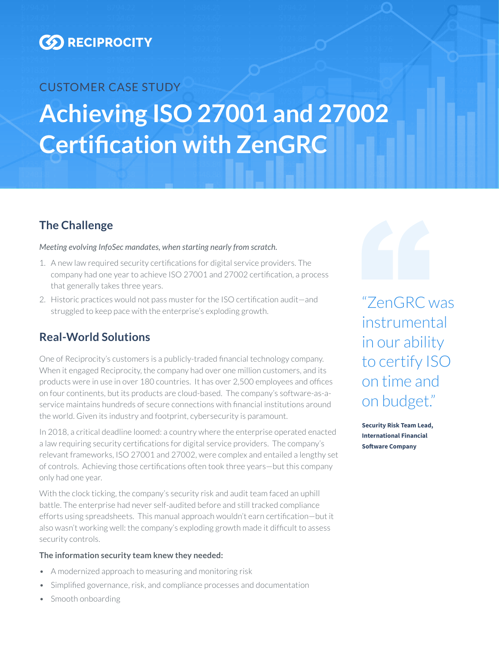

# CUSTOMER CASE STUDY **Achieving ISO 27001 and 27002 Certification with ZenGRC**

## **The Challenge**

### *Meeting evolving InfoSec mandates, when starting nearly from scratch.*

- 1. A new law required security certifications for digital service providers. The company had one year to achieve ISO 27001 and 27002 certification, a process that generally takes three years.
- 2. Historic practices would not pass muster for the ISO certification audit—and  $" \mathsf{ZeroGRC}$  WAS struggled to keep pace with the enterprise's exploding growth.

## **Real-World Solutions**

One of Reciprocity's customers is a publicly-traded financial technology company. When it engaged Reciprocity, the company had over one million customers, and its products were in use in over 180 countries. It has over 2,500 employees and offices on four continents, but its products are cloud-based. The company's software-as-aservice maintains hundreds of secure connections with financial institutions around the world. Given its industry and footprint, cybersecurity is paramount.

In 2018, a critical deadline loomed: a country where the enterprise operated enacted a law requiring security certifications for digital service providers. The company's relevant frameworks, ISO 27001 and 27002, were complex and entailed a lengthy set of controls. Achieving those certifications often took three years—but this company only had one year.

With the clock ticking, the company's security risk and audit team faced an uphill battle. The enterprise had never self-audited before and still tracked compliance efforts using spreadsheets. This manual approach wouldn't earn certification—but it also wasn't working well: the company's exploding growth made it difficult to assess security controls.

### **The information security team knew they needed:**

- A modernized approach to measuring and monitoring risk
- Simplified governance, risk, and compliance processes and documentation
- Smooth onboarding

instrumental in our ability to certify ISO on time and on budget."

**Security Risk Team Lead, International Financial Software Company**